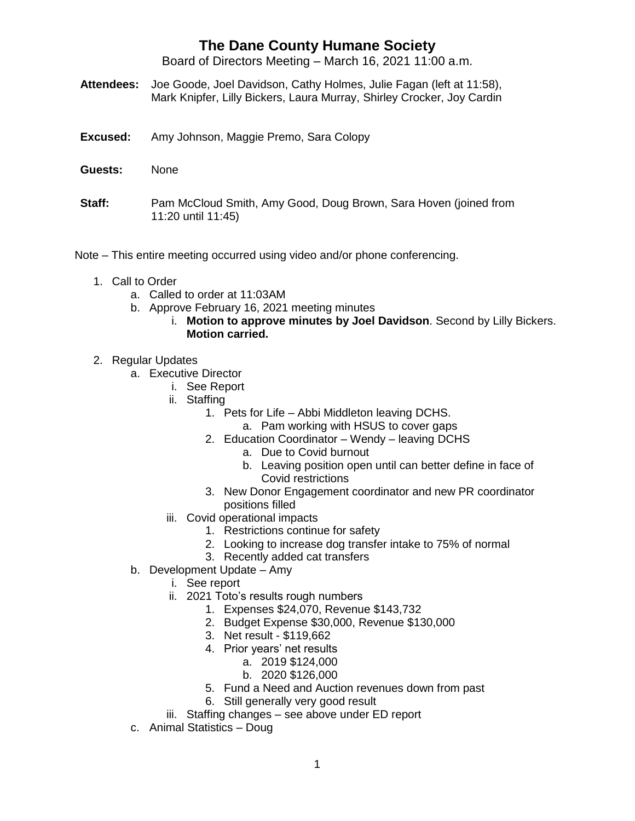Board of Directors Meeting – March 16, 2021 11:00 a.m.

- **Attendees:** Joe Goode, Joel Davidson, Cathy Holmes, Julie Fagan (left at 11:58), Mark Knipfer, Lilly Bickers, Laura Murray, Shirley Crocker, Joy Cardin
- **Excused:** Amy Johnson, Maggie Premo, Sara Colopy
- **Guests:** None
- **Staff:** Pam McCloud Smith, Amy Good, Doug Brown, Sara Hoven (joined from 11:20 until 11:45)
- Note This entire meeting occurred using video and/or phone conferencing.
	- 1. Call to Order
		- a. Called to order at 11:03AM
		- b. Approve February 16, 2021 meeting minutes
			- i. **Motion to approve minutes by Joel Davidson**. Second by Lilly Bickers. **Motion carried.**
	- 2. Regular Updates
		- a. Executive Director
			- i. See Report
			- ii. Staffing
				- 1. Pets for Life Abbi Middleton leaving DCHS.
					- a. Pam working with HSUS to cover gaps
				- 2. Education Coordinator Wendy leaving DCHS
					- a. Due to Covid burnout
					- b. Leaving position open until can better define in face of Covid restrictions
				- 3. New Donor Engagement coordinator and new PR coordinator positions filled
			- iii. Covid operational impacts
				- 1. Restrictions continue for safety
				- 2. Looking to increase dog transfer intake to 75% of normal
				- 3. Recently added cat transfers
		- b. Development Update Amy
			- i. See report
			- ii. 2021 Toto's results rough numbers
				- 1. Expenses \$24,070, Revenue \$143,732
				- 2. Budget Expense \$30,000, Revenue \$130,000
				- 3. Net result \$119,662
				- 4. Prior years' net results
					- a. 2019 \$124,000
						- b. 2020 \$126,000
				- 5. Fund a Need and Auction revenues down from past
				- 6. Still generally very good result
			- iii. Staffing changes see above under ED report
		- c. Animal Statistics Doug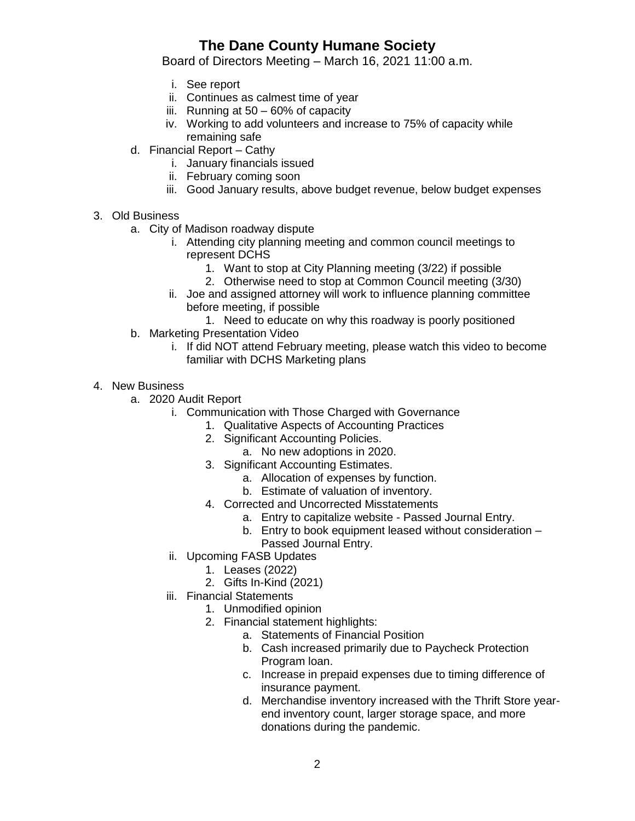Board of Directors Meeting – March 16, 2021 11:00 a.m.

- i. See report
- ii. Continues as calmest time of year
- iii. Running at  $50 60\%$  of capacity
- iv. Working to add volunteers and increase to 75% of capacity while remaining safe
- d. Financial Report Cathy
	- i. January financials issued
	- ii. February coming soon
	- iii. Good January results, above budget revenue, below budget expenses
- 3. Old Business
	- a. City of Madison roadway dispute
		- i. Attending city planning meeting and common council meetings to represent DCHS
			- 1. Want to stop at City Planning meeting (3/22) if possible
			- 2. Otherwise need to stop at Common Council meeting (3/30)
		- ii. Joe and assigned attorney will work to influence planning committee before meeting, if possible
			- 1. Need to educate on why this roadway is poorly positioned
	- b. Marketing Presentation Video
		- i. If did NOT attend February meeting, please watch this video to become familiar with DCHS Marketing plans
- 4. New Business
	- a. 2020 Audit Report
		- i. Communication with Those Charged with Governance
			- 1. Qualitative Aspects of Accounting Practices
			- 2. Significant Accounting Policies.
				- a. No new adoptions in 2020.
			- 3. Significant Accounting Estimates.
				- a. Allocation of expenses by function.
				- b. Estimate of valuation of inventory.
			- 4. Corrected and Uncorrected Misstatements
				- a. Entry to capitalize website Passed Journal Entry.
				- b. Entry to book equipment leased without consideration Passed Journal Entry.
		- ii. Upcoming FASB Updates
			- 1. Leases (2022)
			- 2. Gifts In-Kind (2021)
		- iii. Financial Statements
			- 1. Unmodified opinion
				- 2. Financial statement highlights:
					- a. Statements of Financial Position
					- b. Cash increased primarily due to Paycheck Protection Program loan.
					- c. Increase in prepaid expenses due to timing difference of insurance payment.
					- d. Merchandise inventory increased with the Thrift Store yearend inventory count, larger storage space, and more donations during the pandemic.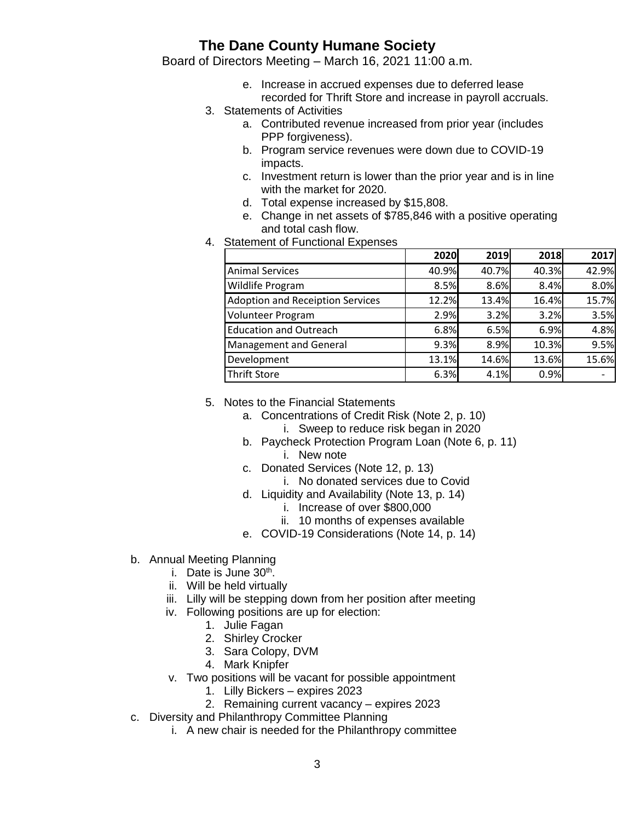Board of Directors Meeting – March 16, 2021 11:00 a.m.

- e. Increase in accrued expenses due to deferred lease recorded for Thrift Store and increase in payroll accruals.
- 3. Statements of Activities
	- a. Contributed revenue increased from prior year (includes PPP forgiveness).
	- b. Program service revenues were down due to COVID-19 impacts.
	- c. Investment return is lower than the prior year and is in line with the market for 2020.
	- d. Total expense increased by \$15,808.
	- e. Change in net assets of \$785,846 with a positive operating and total cash flow.
- 4. Statement of Functional Expenses

|                                         | 2020  | 2019  | 2018  | 2017  |
|-----------------------------------------|-------|-------|-------|-------|
| <b>Animal Services</b>                  | 40.9% | 40.7% | 40.3% | 42.9% |
| Wildlife Program                        | 8.5%  | 8.6%  | 8.4%  | 8.0%  |
| <b>Adoption and Receiption Services</b> | 12.2% | 13.4% | 16.4% | 15.7% |
| <b>Volunteer Program</b>                | 2.9%  | 3.2%  | 3.2%  | 3.5%  |
| <b>Education and Outreach</b>           | 6.8%  | 6.5%  | 6.9%  | 4.8%  |
| <b>Management and General</b>           | 9.3%  | 8.9%  | 10.3% | 9.5%  |
| Development                             | 13.1% | 14.6% | 13.6% | 15.6% |
| <b>Thrift Store</b>                     | 6.3%  | 4.1%  | 0.9%  |       |

- 5. Notes to the Financial Statements
	- a. Concentrations of Credit Risk (Note 2, p. 10) i. Sweep to reduce risk began in 2020
	- b. Paycheck Protection Program Loan (Note 6, p. 11) i. New note
	- c. Donated Services (Note 12, p. 13)
		- i. No donated services due to Covid
	- d. Liquidity and Availability (Note 13, p. 14)
		- i. Increase of over \$800,000
		- ii. 10 months of expenses available
	- e. COVID-19 Considerations (Note 14, p. 14)
- b. Annual Meeting Planning
	- i. Date is June 30<sup>th</sup>.
	- ii. Will be held virtually
	- iii. Lilly will be stepping down from her position after meeting
	- iv. Following positions are up for election:
		- 1. Julie Fagan
		- 2. Shirley Crocker
		- 3. Sara Colopy, DVM
		- 4. Mark Knipfer
	- v. Two positions will be vacant for possible appointment
		- 1. Lilly Bickers expires 2023
		- 2. Remaining current vacancy expires 2023
- c. Diversity and Philanthropy Committee Planning
	- i. A new chair is needed for the Philanthropy committee